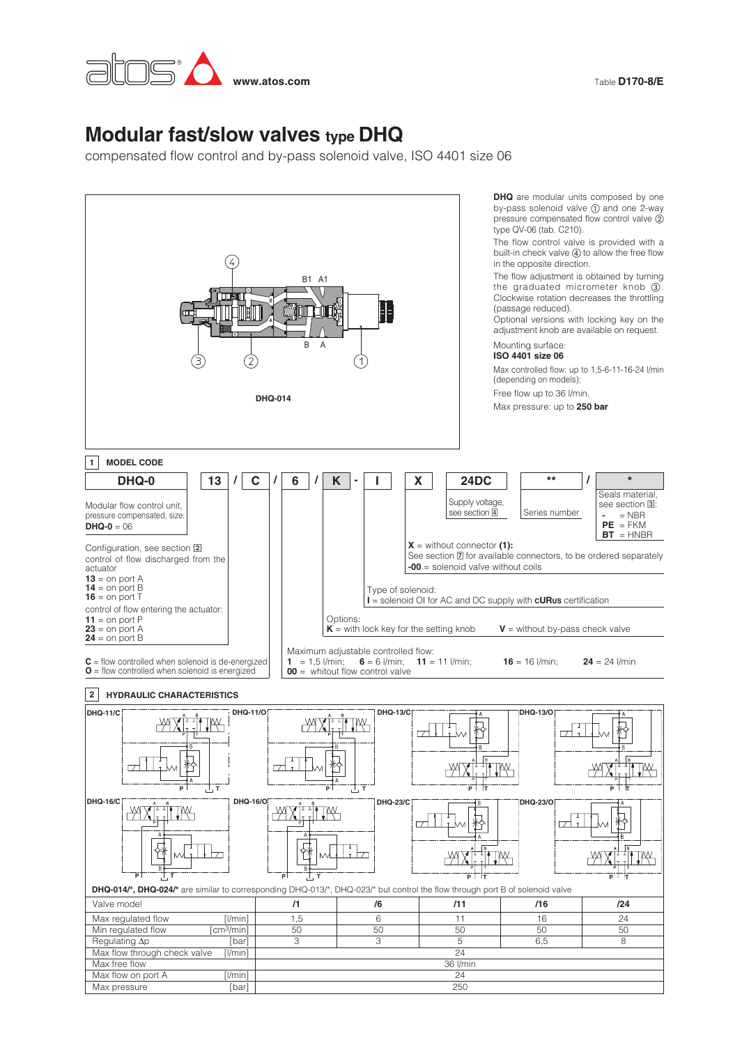

Table **D170-8/E**

## **Modular fast/slow valves type DHQ**

compensated flow control and by-pass solenoid valve, ISO 4401 size 06